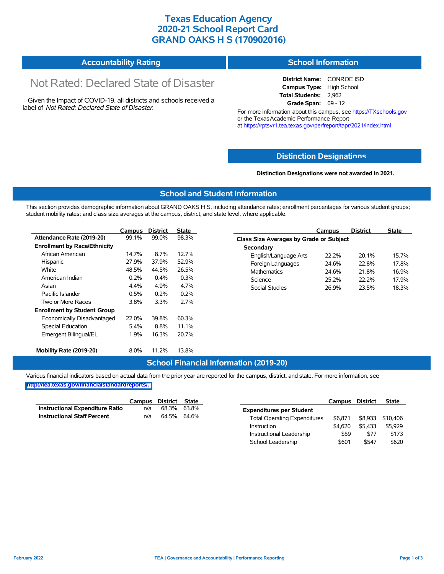## **Texas Education Agency 2020-21 School Report Card GRAND OAKS H S (170902016)**

#### **Accountability Rating School Information**

# Not Rated: Declared State of Disaster

Given the Impact of COVID-19, all districts and schools received a label of *Not Rated: Declared State of Disaster.*

**District Name:** CONROE ISD **Campus Type:** High School **Total Students:** 2,962 **Grade Span:** 09 - 12

For more information about this campus, see https://TXschools.gov or the Texas Academic Performance Report at https://rptsvr1.tea.texas.gov/perfreport/tapr/2021/index.html

#### **Distinction Designat[ions](https://TXschools.gov)**

**Distinction Designations were not awarded in 2021.**

School Leadership  $$601$  \$547 \$620

#### **School and Student Information**

This section provides demographic information about GRAND OAKS H S, including attendance rates; enrollment percentages for various student groups; student mobility rates; and class size averages at the campus, district, and state level, where applicable.

|                                     | Campus | <b>District</b> | <b>State</b> | <b>District</b><br><b>State</b><br>Campus        |
|-------------------------------------|--------|-----------------|--------------|--------------------------------------------------|
| Attendance Rate (2019-20)           | 99.1%  | 99.0%           | 98.3%        | <b>Class Size Averages by Grade or Subject</b>   |
| <b>Enrollment by Race/Ethnicity</b> |        |                 |              | Secondary                                        |
| African American                    | 14.7%  | 8.7%            | 12.7%        | 15.7%<br>English/Language Arts<br>22.2%<br>20.1% |
| Hispanic                            | 27.9%  | 37.9%           | 52.9%        | Foreign Languages<br>24.6%<br>22.8%<br>17.8%     |
| White                               | 48.5%  | 44.5%           | 26.5%        | Mathematics<br>16.9%<br>24.6%<br>21.8%           |
| American Indian                     | 0.2%   | 0.4%            | 0.3%         | 25.2%<br>22.2%<br>17.9%<br>Science               |
| Asian                               | 4.4%   | 4.9%            | 4.7%         | Social Studies<br>26.9%<br>23.5%<br>18.3%        |
| Pacific Islander                    | 0.5%   | 0.2%            | 0.2%         |                                                  |
| Two or More Races                   | 3.8%   | 3.3%            | 2.7%         |                                                  |
| <b>Enrollment by Student Group</b>  |        |                 |              |                                                  |
| Economically Disadvantaged          | 22.0%  | 39.8%           | 60.3%        |                                                  |
| Special Education                   | 5.4%   | 8.8%            | 11.1%        |                                                  |
| Emergent Bilingual/EL               | 1.9%   | 16.3%           | 20.7%        |                                                  |
| Mobility Rate (2019-20)             | 8.0%   | 11.2%           | 13.8%        |                                                  |

#### **School Financial Information (2019-20)**

Various financial indicators based on actual data from the prior year are reported for the campus, district, and state. For more information, see

**[http://tea.texas.gov/financialstandardreports/.](http://tea.texas.gov/financialstandardreports/)**

|                                    | Campus | District State |             |                                     | Campus  | <b>District</b> | <b>State</b> |
|------------------------------------|--------|----------------|-------------|-------------------------------------|---------|-----------------|--------------|
| Instructional Expenditure Ratio    | n/a    |                | 68.3% 63.8% | <b>Expenditures per Student</b>     |         |                 |              |
| <b>Instructional Staff Percent</b> | n/a    |                | 64.5% 64.6% | <b>Total Operating Expenditures</b> | \$6.871 | \$8.933         | \$10.406     |
|                                    |        |                |             | Instruction                         | \$4.620 | \$5.433         | \$5.929      |
|                                    |        |                |             | Instructional Leadership            | \$59    | \$77            | \$173        |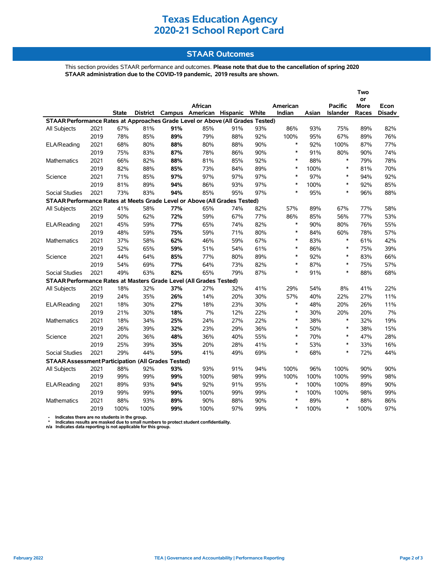# **Texas Education Agency 2020-21 School Report Card**

#### **STAAR Outcomes**

This section provides STAAR performance and outcomes. **Please note that due to the cancellation of spring 2020 STAAR administration due to the COVID-19 pandemic, 2019 results are shown.**

|                                                                                |      |              |      |     |                                         |     |     |          |       | I WO           |             |               |
|--------------------------------------------------------------------------------|------|--------------|------|-----|-----------------------------------------|-----|-----|----------|-------|----------------|-------------|---------------|
|                                                                                |      |              |      |     |                                         |     |     |          |       |                | or          |               |
|                                                                                |      |              |      |     | African                                 |     |     | American |       | <b>Pacific</b> | <b>More</b> | Econ          |
|                                                                                |      | <b>State</b> |      |     | District Campus American Hispanic White |     |     | Indian   | Asian | Islander       | Races       | <b>Disadv</b> |
| STAAR Performance Rates at Approaches Grade Level or Above (All Grades Tested) |      |              |      |     |                                         |     |     |          |       |                |             |               |
| All Subjects                                                                   | 2021 | 67%          | 81%  | 91% | 85%                                     | 91% | 93% | 86%      | 93%   | 75%            | 89%         | 82%           |
|                                                                                | 2019 | 78%          | 85%  | 89% | 79%                                     | 88% | 92% | 100%     | 95%   | 67%            | 89%         | 76%           |
| ELA/Reading                                                                    | 2021 | 68%          | 80%  | 88% | 80%                                     | 88% | 90% | $\ast$   | 92%   | 100%           | 87%         | 77%           |
|                                                                                | 2019 | 75%          | 83%  | 87% | 78%                                     | 86% | 90% | $\ast$   | 91%   | 80%            | 90%         | 74%           |
| Mathematics                                                                    | 2021 | 66%          | 82%  | 88% | 81%                                     | 85% | 92% | $\ast$   | 88%   | $\ast$         | 79%         | 78%           |
|                                                                                | 2019 | 82%          | 88%  | 85% | 73%                                     | 84% | 89% | $\ast$   | 100%  | $\ast$         | 81%         | 70%           |
| Science                                                                        | 2021 | 71%          | 85%  | 97% | 97%                                     | 97% | 97% | $\ast$   | 97%   | $\ast$         | 94%         | 92%           |
|                                                                                | 2019 | 81%          | 89%  | 94% | 86%                                     | 93% | 97% | $\ast$   | 100%  | $\ast$         | 92%         | 85%           |
| <b>Social Studies</b>                                                          | 2021 | 73%          | 83%  | 94% | 85%                                     | 95% | 97% | $\ast$   | 95%   | $\ast$         | 96%         | 88%           |
| STAAR Performance Rates at Meets Grade Level or Above (All Grades Tested)      |      |              |      |     |                                         |     |     |          |       |                |             |               |
| All Subjects                                                                   | 2021 | 41%          | 58%  | 77% | 65%                                     | 74% | 82% | 57%      | 89%   | 67%            | 77%         | 58%           |
|                                                                                | 2019 | 50%          | 62%  | 72% | 59%                                     | 67% | 77% | 86%      | 85%   | 56%            | 77%         | 53%           |
| ELA/Reading                                                                    | 2021 | 45%          | 59%  | 77% | 65%                                     | 74% | 82% | $\ast$   | 90%   | 80%            | 76%         | 55%           |
|                                                                                | 2019 | 48%          | 59%  | 75% | 59%                                     | 71% | 80% | $\ast$   | 84%   | 60%            | 78%         | 57%           |
| <b>Mathematics</b>                                                             | 2021 | 37%          | 58%  | 62% | 46%                                     | 59% | 67% | $\ast$   | 83%   | $\ast$         | 61%         | 42%           |
|                                                                                | 2019 | 52%          | 65%  | 59% | 51%                                     | 54% | 61% | $\ast$   | 86%   | $\ast$         | 75%         | 39%           |
| Science                                                                        | 2021 | 44%          | 64%  | 85% | 77%                                     | 80% | 89% | $\ast$   | 92%   | $\ast$         | 83%         | 66%           |
|                                                                                | 2019 | 54%          | 69%  | 77% | 64%                                     | 73% | 82% | $\ast$   | 87%   | $\ast$         | 75%         | 57%           |
| <b>Social Studies</b>                                                          | 2021 | 49%          | 63%  | 82% | 65%                                     | 79% | 87% | $\ast$   | 91%   | $\ast$         | 88%         | 68%           |
| STAAR Performance Rates at Masters Grade Level (All Grades Tested)             |      |              |      |     |                                         |     |     |          |       |                |             |               |
| All Subjects                                                                   | 2021 | 18%          | 32%  | 37% | 27%                                     | 32% | 41% | 29%      | 54%   | 8%             | 41%         | 22%           |
|                                                                                | 2019 | 24%          | 35%  | 26% | 14%                                     | 20% | 30% | 57%      | 40%   | 22%            | 27%         | 11%           |
| ELA/Reading                                                                    | 2021 | 18%          | 30%  | 27% | 18%                                     | 23% | 30% | $\ast$   | 48%   | 20%            | 26%         | 11%           |
|                                                                                | 2019 | 21%          | 30%  | 18% | 7%                                      | 12% | 22% | $\ast$   | 30%   | 20%            | 20%         | 7%            |
| Mathematics                                                                    | 2021 | 18%          | 34%  | 25% | 24%                                     | 27% | 22% | $\ast$   | 38%   | $\ast$         | 32%         | 19%           |
|                                                                                | 2019 | 26%          | 39%  | 32% | 23%                                     | 29% | 36% | $\ast$   | 50%   | $\ast$         | 38%         | 15%           |
| Science                                                                        | 2021 | 20%          | 36%  | 48% | 36%                                     | 40% | 55% | $\ast$   | 70%   | $\ast$         | 47%         | 28%           |
|                                                                                | 2019 | 25%          | 39%  | 35% | 20%                                     | 28% | 41% | $\ast$   | 53%   | $\ast$         | 33%         | 16%           |
| <b>Social Studies</b>                                                          | 2021 | 29%          | 44%  | 59% | 41%                                     | 49% | 69% | $\ast$   | 68%   | $\ast$         | 72%         | 44%           |
| <b>STAAR Assessment Participation (All Grades Tested)</b>                      |      |              |      |     |                                         |     |     |          |       |                |             |               |
| <b>All Subjects</b>                                                            | 2021 | 88%          | 92%  | 93% | 93%                                     | 91% | 94% | 100%     | 96%   | 100%           | 90%         | 90%           |
|                                                                                | 2019 | 99%          | 99%  | 99% | 100%                                    | 98% | 99% | 100%     | 100%  | 100%           | 99%         | 98%           |
| ELA/Reading                                                                    | 2021 | 89%          | 93%  | 94% | 92%                                     | 91% | 95% | $\ast$   | 100%  | 100%           | 89%         | 90%           |
|                                                                                | 2019 | 99%          | 99%  | 99% | 100%                                    | 99% | 99% | *        | 100%  | 100%           | 98%         | 99%           |
| Mathematics                                                                    | 2021 | 88%          | 93%  | 89% | 90%                                     | 88% | 90% | $\ast$   | 89%   | $\ast$         | 88%         | 86%           |
|                                                                                | 2019 | 100%         | 100% | 99% | 100%                                    | 97% | 99% | $\ast$   | 100%  | $\ast$         | 100%        | 97%           |
|                                                                                |      |              |      |     |                                         |     |     |          |       |                |             |               |

- Indicates there are no students in the group.<br>\* Indicates results are masked due to small numbers to protect student confidentiality.<br>n/a Indicates data reporting is not applicable for this group.

**Two**